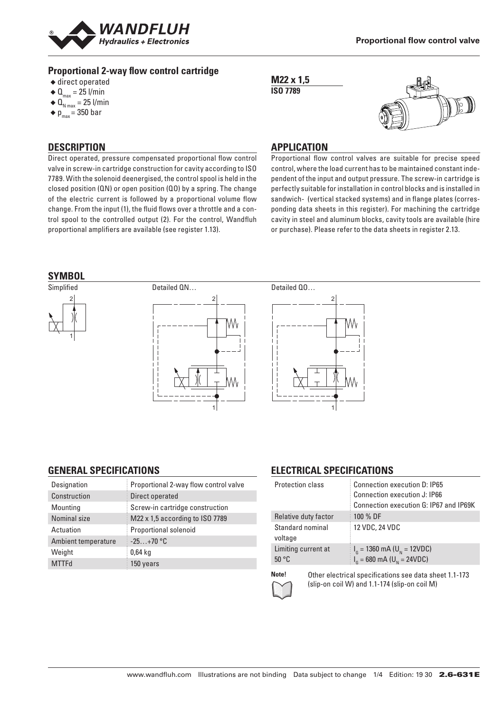

### **Proportional 2-way flow control cartridge**

- ◆ direct operated
- $\triangleleft$  Q<sub>max</sub> = 25 l/min
- $\triangleleft$  Q<sub>N max</sub> = 25 l/min
- $\bullet$  p<sub>max</sub> = 350 bar

### **DESCRIPTION**

Direct operated, pressure compensated proportional flow control valve in screw-in cartridge construction for cavity according to ISO 7789. With the solenoid deenergised, the control spool is held in the closed position (QN) or open position (QO) by a spring. The change of the electric current is followed by a proportional volume flow change. From the input (1), the fluid flows over a throttle and a control spool to the controlled output (2). For the control, Wandfluh proportional amplifiers are available (see register 1.13).





### **APPLICATION**

Proportional flow control valves are suitable for precise speed control, where the load current has to be maintained constant independent of the input and output pressure. The screw-in cartridge is perfectly suitable for installation in control blocks and is installed in sandwich- (vertical stacked systems) and in flange plates (corresponding data sheets in this register). For machining the cartridge cavity in steel and aluminum blocks, cavity tools are available (hire or purchase). Please refer to the data sheets in register 2.13.



## **GENERAL SPECIFICATIONS**

| Designation         | Proportional 2-way flow control valve |
|---------------------|---------------------------------------|
| Construction        | Direct operated                       |
| Mounting            | Screw-in cartridge construction       |
| Nominal size        | M22 x 1,5 according to ISO 7789       |
| Actuation           | Proportional solenoid                 |
| Ambient temperature | $-25+70$ °C                           |
| Weight              | $0.64$ kg                             |
| <b>MTTFd</b>        | 150 years                             |

## **ELECTRICAL SPECIFICATIONS**

| <b>Protection class</b>      | Connection execution D: IP65<br>Connection execution J: IP66<br>Connection execution G: IP67 and IP69K |
|------------------------------|--------------------------------------------------------------------------------------------------------|
| Relative duty factor         | 100 % DF                                                                                               |
| Standard nominal<br>voltage  | 12 VDC, 24 VDC                                                                                         |
| Limiting current at<br>50 °C | $I_{\rm g}$ = 1360 mA (U <sub>N</sub> = 12VDC)<br>$I_G = 680 \text{ mA} (U_N = 24 \text{VDC})$         |
|                              |                                                                                                        |



**Note!** Other electrical specifications see data sheet 1.1-173 (slip-on coil W) and 1.1-174 (slip-on coil M)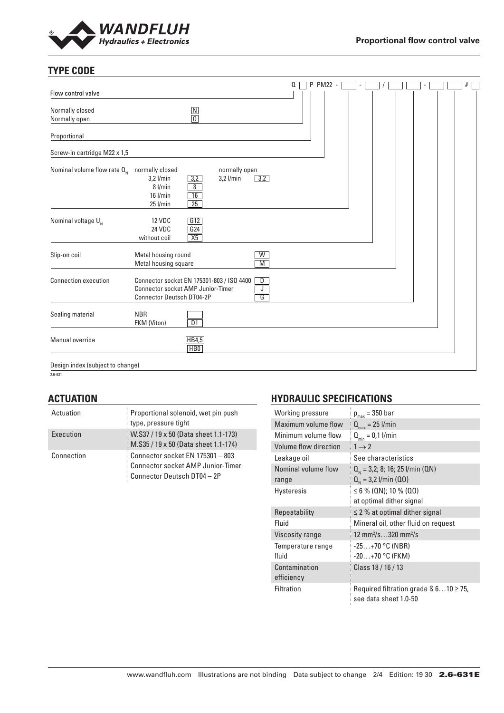

## **TYPE CODE**

|                                  |                                                                                                                    |                                                   |                              |                              | Q | P PM22 - |  |  |  | # |
|----------------------------------|--------------------------------------------------------------------------------------------------------------------|---------------------------------------------------|------------------------------|------------------------------|---|----------|--|--|--|---|
| Flow control valve               |                                                                                                                    |                                                   |                              |                              |   |          |  |  |  |   |
| Normally closed<br>Normally open |                                                                                                                    | $\boxed{\mathsf{N}}$<br>$\overline{\overline{0}}$ |                              |                              |   |          |  |  |  |   |
| Proportional                     |                                                                                                                    |                                                   |                              |                              |   |          |  |  |  |   |
| Screw-in cartridge M22 x 1,5     |                                                                                                                    |                                                   |                              |                              |   |          |  |  |  |   |
| Nominal volume flow rate $Q_{N}$ | normally closed<br>$3,2$ l/min<br>8 l/min<br>$16$ l/min<br>$25$ l/min                                              | 3,2<br>$\overline{8}$<br>16<br>25                 | normally open<br>$3,2$ l/min | 3,2                          |   |          |  |  |  |   |
| Nominal voltage $U_{N}$          | <b>12 VDC</b><br>24 VDC<br>without coil                                                                            | G12<br>G24<br>X5                                  |                              |                              |   |          |  |  |  |   |
| Slip-on coil                     | Metal housing round<br>Metal housing square                                                                        |                                                   |                              | W<br>$\overline{\mathsf{M}}$ |   |          |  |  |  |   |
| <b>Connection execution</b>      | Connector socket EN 175301-803 / ISO 4400<br>Connector socket AMP Junior-Timer<br><b>Connector Deutsch DT04-2P</b> |                                                   |                              | D<br>J<br>G                  |   |          |  |  |  |   |
| Sealing material                 | <b>NBR</b><br>FKM (Viton)                                                                                          | $\overline{D1}$                                   |                              |                              |   |          |  |  |  |   |
| Manual override                  |                                                                                                                    | HB4,5<br>H <sub>B</sub> <sub>0</sub>              |                              |                              |   |          |  |  |  |   |
| Design index (subject to change) |                                                                                                                    |                                                   |                              |                              |   |          |  |  |  |   |

 $2.6 - 631$ 

## **ACTUATION**

| Actuation  | Proportional solenoid, wet pin push<br>type, pressure tight                                                 |
|------------|-------------------------------------------------------------------------------------------------------------|
| Execution  | W.S37 / 19 x 50 (Data sheet 1.1-173)<br>M.S35 / 19 x 50 (Data sheet 1.1-174)                                |
| Connection | Connector socket EN 175301 - 803<br><b>Connector socket AMP Junior-Timer</b><br>Connector Deutsch DT04 - 2P |

## **HYDRAULIC SPECIFICATIONS**

| Working pressure             | $p_{max}$ = 350 bar                                                       |
|------------------------------|---------------------------------------------------------------------------|
| Maximum volume flow          | $Q_{\text{max}} = 25$ l/min                                               |
| Minimum volume flow          | $Q_{\min} = 0.1$ l/min                                                    |
| Volume flow direction        | $1 \rightarrow 2$                                                         |
| Leakage oil                  | See characteristics                                                       |
| Nominal volume flow<br>range | $Q_{N}$ = 3,2; 8; 16; 25 l/min (QN)<br>$Q_{N} = 3.2$ l/min (Q0)           |
| <b>Hysteresis</b>            | $\leq 6$ % (QN); 10 % (QO)<br>at optimal dither signal                    |
| Repeatability                | $\leq$ 2 % at optimal dither signal                                       |
| Fluid                        | Mineral oil, other fluid on request                                       |
| Viscosity range              | 12 mm <sup>2</sup> /s320 mm <sup>2</sup> /s                               |
| Temperature range<br>fluid   | $-25+70$ °C (NBR)<br>$-20+70$ °C (FKM)                                    |
| Contamination<br>efficiency  | Class 18 / 16 / 13                                                        |
| Filtration                   | Required filtration grade $\beta$ 610 $\geq$ 75,<br>see data sheet 1.0-50 |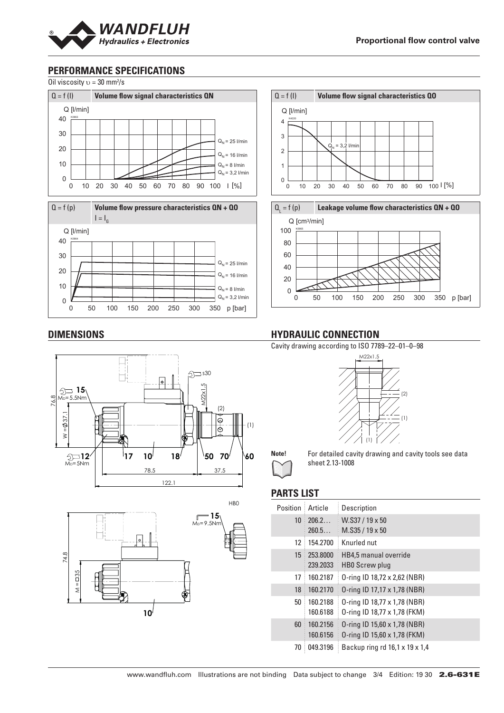

## **PERFORMANCE SPECIFICATIONS**

Oil viscosity  $v = 30$  mm<sup>2</sup>/s



## **HYDRAULIC CONNECTION**

Cavity drawing according to ISO 7789–22–01–0–98





**Note!** For detailed cavity drawing and cavity tools see data sheet 2.13-1008

## **PARTS LIST**

| Position        | Article              | Description                                                  |
|-----------------|----------------------|--------------------------------------------------------------|
| 10 <sup>°</sup> | 206.2<br>260.5       | $W.S37/19 \times 50$<br>$M.S35/19 \times 50$                 |
| 12              | 154.2700             | Knurled nut                                                  |
| 15              | 253,8000<br>239.2033 | HB4,5 manual override<br>HBO Screw plug                      |
| 17              | 160.2187             | 0-ring ID 18,72 x 2,62 (NBR)                                 |
| 18              | 160.2170             | 0-ring ID 17,17 x 1,78 (NBR)                                 |
| 50              | 160.2188<br>160.6188 | 0-ring ID 18,77 x 1,78 (NBR)<br>0-ring ID 18,77 x 1,78 (FKM) |
| 60              | 160.2156<br>160.6156 | 0-ring ID 15,60 x 1,78 (NBR)<br>0-ring ID 15,60 x 1,78 (FKM) |
| 70              | 049.3196             | Backup ring rd 16,1 x 19 x 1,4                               |

#### **DIMENSIONS**